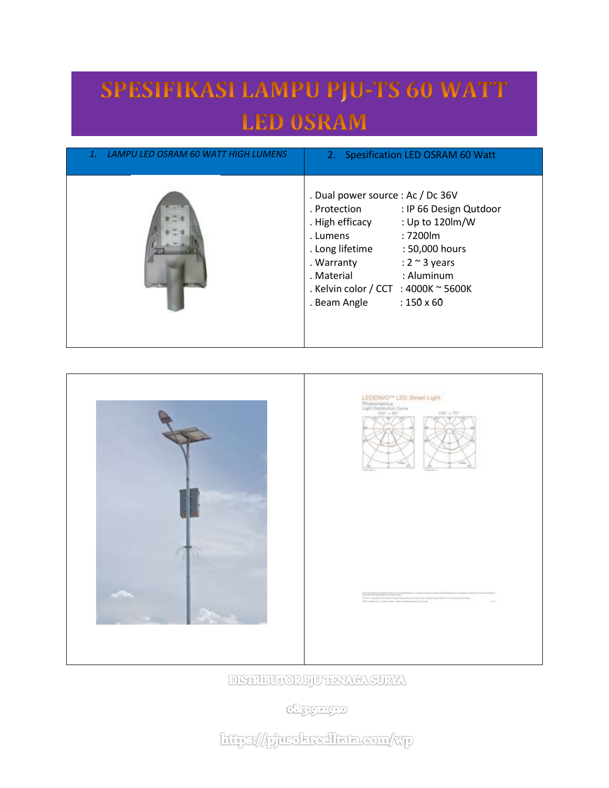## SPESIFIKASI LAMPU PJU-TS 60 WATT **LED OSRAM**

| LAMPU LED OSRAM 60 WATT HIGH LUMENS | 2. Spesification LED OSRAM 60 Watt                                                                                                                                                                                                                                                                                          |
|-------------------------------------|-----------------------------------------------------------------------------------------------------------------------------------------------------------------------------------------------------------------------------------------------------------------------------------------------------------------------------|
|                                     | . Dual power source : Ac / Dc 36V<br>. Protection<br>: IP 66 Design Qutdoor<br>: Up to 120lm/W<br>. High efficacy<br>: 7200lm<br>. Lumens<br>. Long lifetime<br>: 50,000 hours<br>: $2 \sim 3$ years<br>. Warranty<br>: Aluminum<br>. Material<br>. Kelvin color / CCT : 4000K ~ 5600K<br>$: 150 \times 60$<br>. Beam Angle |





DETRUMORPOTER CASUNA

**Charged** 

http://pjurokrealkata.com/wp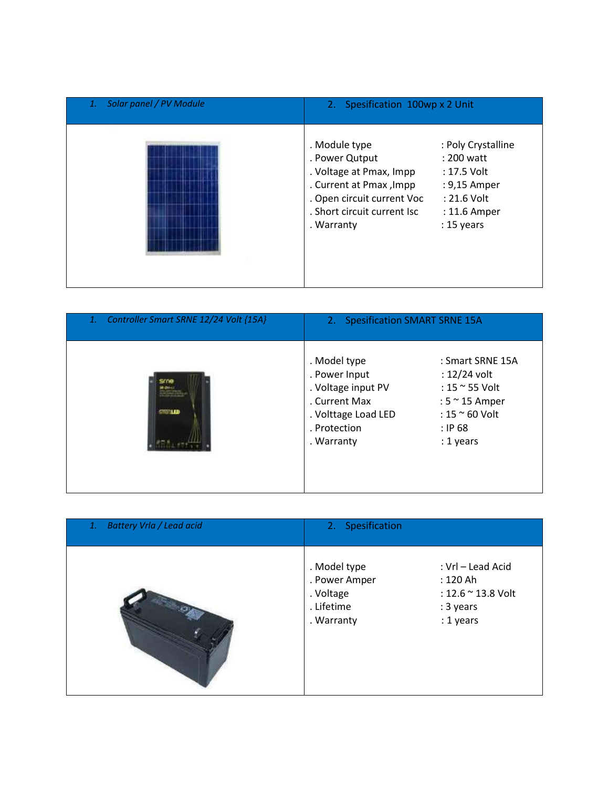| Solar panel / PV Module | 2. Spesification 100wp x 2 Unit                                                                                                                                                                                                                                                      |  |
|-------------------------|--------------------------------------------------------------------------------------------------------------------------------------------------------------------------------------------------------------------------------------------------------------------------------------|--|
|                         | . Module type<br>: Poly Crystalline<br>. Power Qutput<br>: 200 watt<br>. Voltage at Pmax, Impp<br>: 17.5 Volt<br>. Current at Pmax, Impp<br>: 9,15 Amper<br>. Open circuit current Voc<br>$: 21.6$ Volt<br>. Short circuit current Isc<br>: 11.6 Amper<br>$: 15$ years<br>. Warranty |  |

| Controller Smart SRNE 12/24 Volt {15A}<br>1. | 2. Spesification SMART SRNE 15A                                                                                           |                                                                                                                                 |
|----------------------------------------------|---------------------------------------------------------------------------------------------------------------------------|---------------------------------------------------------------------------------------------------------------------------------|
| <b>STOTLED</b>                               | . Model type<br>. Power Input<br>. Voltage input PV<br>. Current Max<br>. Volttage Load LED<br>. Protection<br>. Warranty | : Smart SRNE 15A<br>: 12/24 volt<br>: 15 ~ 55 Volt<br>: $5 \approx 15$ Amper<br>: $15 \approx 60$ Volt<br>: IP68<br>$: 1$ years |

| <b>Battery Vrla / Lead acid</b><br>1. | 2. Spesification                                                       |                                                                               |
|---------------------------------------|------------------------------------------------------------------------|-------------------------------------------------------------------------------|
|                                       | . Model type<br>. Power Amper<br>. Voltage<br>. Lifetime<br>. Warranty | : Vrl - Lead Acid<br>: 120 Ah<br>: 12.6 ~ 13.8 Volt<br>: 3 years<br>: 1 years |